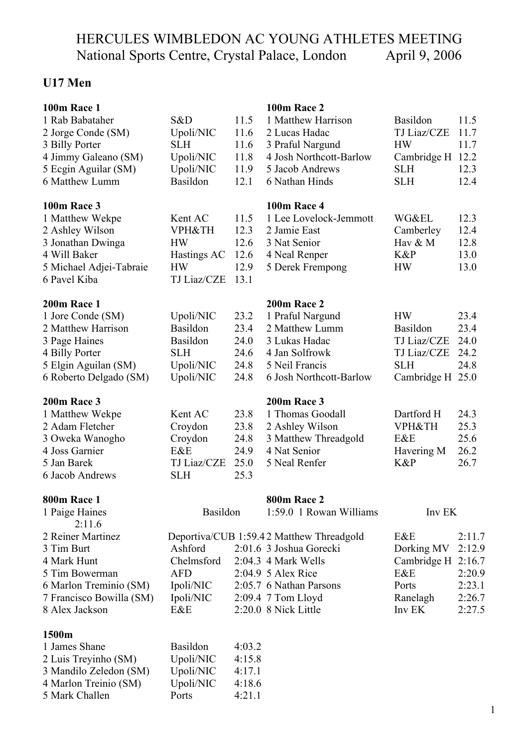# HERCULES WIMBLEDON AC YOUNG ATHLETES MEETING National Sports Centre, Crystal Palace, London April 9, 2006

# **U17 Men**

| 100m Race 1              |                   |        | 100m Race 2                              |                    |        |
|--------------------------|-------------------|--------|------------------------------------------|--------------------|--------|
| 1 Rab Babataher          | S&D               | 11.5   | 1 Matthew Harrison                       | <b>Basildon</b>    | 11.5   |
| 2 Jorge Conde (SM)       | Upoli/NIC         | 11.6   | 2 Lucas Hadac                            | TJ Liaz/CZE        | 11.7   |
| 3 Billy Porter           | <b>SLH</b>        | 11.6   | 3 Praful Nargund                         | <b>HW</b>          | 11.7   |
| 4 Jimmy Galeano (SM)     | Upoli/NIC         | 11.8   | 4 Josh Northcott-Barlow                  | Cambridge H        | 12.2   |
| 5 Ecgin Aguilar (SM)     | Upoli/NIC         | 11.9   | 5 Jacob Andrews                          | <b>SLH</b>         | 12.3   |
| 6 Matthew Lumm           | Basildon          | 12.1   | 6 Nathan Hinds                           | <b>SLH</b>         | 12.4   |
| <b>100m Race 3</b>       |                   |        | <b>100m Race 4</b>                       |                    |        |
| 1 Matthew Wekpe          | Kent AC           | 11.5   | 1 Lee Lovelock-Jemmott                   | <b>WG&amp;EL</b>   | 12.3   |
| 2 Ashley Wilson          | <b>VPH&amp;TH</b> | 12.3   | 2 Jamie East                             | Camberley          | 12.4   |
| 3 Jonathan Dwinga        | <b>HW</b>         | 12.6   | 3 Nat Senior                             | Hav & M            | 12.8   |
| 4 Will Baker             | Hastings AC       | 12.6   | 4 Neal Renper                            | $K\&P$             | 13.0   |
| 5 Michael Adjei-Tabraie  | <b>HW</b>         | 12.9   | 5 Derek Frempong                         | <b>HW</b>          | 13.0   |
| 6 Pavel Kiba             | TJ Liaz/CZE       | 13.1   |                                          |                    |        |
| <b>200m Race 1</b>       |                   |        | 200m Race 2                              |                    |        |
| 1 Jore Conde (SM)        | Upoli/NIC         | 23.2   | 1 Praful Nargund                         | <b>HW</b>          | 23.4   |
| 2 Matthew Harrison       | Basildon          | 23.4   | 2 Matthew Lumm                           | Basildon           | 23.4   |
| 3 Page Haines            | Basildon          | 24.0   | 3 Lukas Hadac                            | <b>TJ Liaz/CZE</b> | 24.0   |
| 4 Billy Porter           | <b>SLH</b>        | 24.6   | 4 Jan Solfrowk                           | TJ Liaz/CZE        | 24.2   |
| 5 Elgin Aguilan (SM)     | Upoli/NIC         | 24.8   | 5 Neil Francis                           | <b>SLH</b>         | 24.8   |
| 6 Roberto Delgado (SM)   | Upoli/NIC         | 24.8   | 6 Josh Northcott-Barlow                  | Cambridge H        | 25.0   |
| 200m Race 3              |                   |        | 200m Race 3                              |                    |        |
| 1 Matthew Wekpe          | Kent AC           | 23.8   | 1 Thomas Goodall                         | Dartford H         | 24.3   |
| 2 Adam Fletcher          | Croydon           | 23.8   | 2 Ashley Wilson                          | <b>VPH&amp;TH</b>  | 25.3   |
| 3 Oweka Wanogho          | Croydon           | 24.8   | 3 Matthew Threadgold                     | E&E                | 25.6   |
| 4 Joss Garnier           | E&E               | 24.9   | 4 Nat Senior                             | Havering M         | 26.2   |
| 5 Jan Barek              | TJ Liaz/CZE       | 25.0   | 5 Neal Renfer                            | K&P                | 26.7   |
| 6 Jacob Andrews          | <b>SLH</b>        | 25.3   |                                          |                    |        |
| <b>800m Race 1</b>       |                   |        | <b>800m Race 2</b>                       |                    |        |
| 1 Paige Haines<br>2:11.6 | Basildon          |        | 1:59.0 1 Rowan Williams                  | Inv EK             |        |
| 2 Reiner Martinez        |                   |        | Deportiva/CUB 1:59.42 Matthew Threadgold | E&E                | 2:11.7 |
| 3 Tim Burt               | Ashford           |        | 2:01.6 3 Joshua Gorecki                  | Dorking MV         | 2:12.9 |
| 4 Mark Hunt              | Chelmsford        |        | 2:04.3 4 Mark Wells                      | Cambridge H 2:16.7 |        |
| 5 Tim Bowerman           | <b>AFD</b>        |        | 2:04.9 5 Alex Rice                       | E&E                | 2:20.9 |
| 6 Marlon Treminio (SM)   | Ipoli/NIC         |        | 2:05.7 6 Nathan Parsons                  | Ports              | 2:23.1 |
| 7 Francisco Bowilla (SM) | Ipoli/NIC         |        | 2:09.4 7 Tom Lloyd                       | Ranelagh           | 2:26.7 |
| 8 Alex Jackson           | E&E               |        | 2:20.0 8 Nick Little                     | Inv EK             | 2:27.5 |
| 1500m                    |                   |        |                                          |                    |        |
| 1 James Shane            | <b>Basildon</b>   | 4:03.2 |                                          |                    |        |
| 2 Luis Treyinho (SM)     | Upoli/NIC         | 4:15.8 |                                          |                    |        |
| 3 Mandilo Zeledon (SM)   | Upoli/NIC         | 4:17.1 |                                          |                    |        |
| 4 Marlon Treinio (SM)    | Upoli/NIC         | 4:18.6 |                                          |                    |        |
| 5 Mark Challen           | Ports             | 4:21.1 |                                          |                    |        |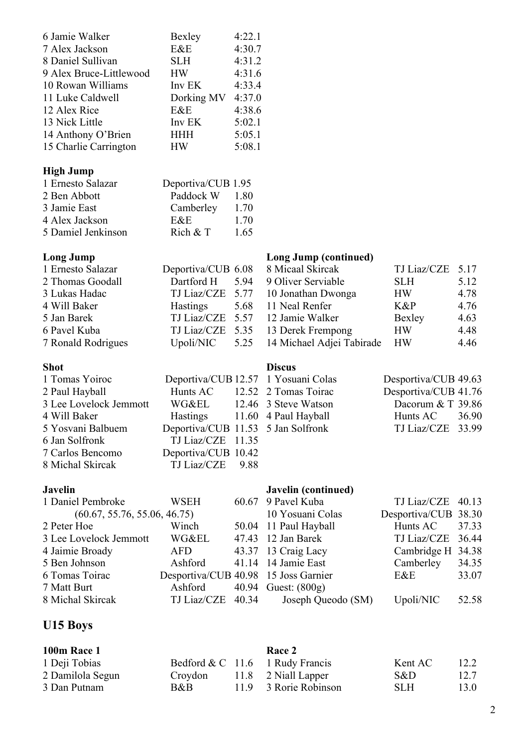| 6 Jamie Walker<br>7 Alex Jackson<br>8 Daniel Sullivan<br>9 Alex Bruce-Littlewood | Bexley<br>E&E<br><b>SLH</b><br><b>HW</b> | 4:22.1<br>4:30.7<br>4:31.2<br>4:31.6 |                                        |                                           |                |
|----------------------------------------------------------------------------------|------------------------------------------|--------------------------------------|----------------------------------------|-------------------------------------------|----------------|
| 10 Rowan Williams                                                                | Inv EK                                   | 4:33.4                               |                                        |                                           |                |
| 11 Luke Caldwell<br>12 Alex Rice                                                 | Dorking MV<br>E&E                        | 4:37.0<br>4:38.6                     |                                        |                                           |                |
| 13 Nick Little                                                                   | Inv EK                                   | 5:02.1                               |                                        |                                           |                |
| 14 Anthony O'Brien                                                               | <b>HHH</b>                               | 5:05.1                               |                                        |                                           |                |
| 15 Charlie Carrington                                                            | <b>HW</b>                                | 5:08.1                               |                                        |                                           |                |
| <b>High Jump</b>                                                                 |                                          |                                      |                                        |                                           |                |
| 1 Ernesto Salazar                                                                | Deportiva/CUB 1.95                       |                                      |                                        |                                           |                |
| 2 Ben Abbott                                                                     | Paddock W                                | 1.80                                 |                                        |                                           |                |
| 3 Jamie East                                                                     | Camberley                                | 1.70                                 |                                        |                                           |                |
| 4 Alex Jackson                                                                   | E&E                                      | 1.70                                 |                                        |                                           |                |
| 5 Damiel Jenkinson                                                               | Rich $&$ T                               | 1.65                                 |                                        |                                           |                |
| <b>Long Jump</b>                                                                 |                                          |                                      | <b>Long Jump (continued)</b>           |                                           |                |
| 1 Ernesto Salazar                                                                | Deportiva/CUB 6.08                       |                                      | 8 Micaal Skircak                       | TJ Liaz/CZE                               | 5.17           |
| 2 Thomas Goodall                                                                 | Dartford H                               | 5.94                                 | 9 Oliver Serviable                     | <b>SLH</b>                                | 5.12           |
| 3 Lukas Hadac                                                                    | TJ Liaz/CZE                              | 5.77                                 | 10 Jonathan Dwonga                     | HW                                        | 4.78           |
| 4 Will Baker<br>5 Jan Barek                                                      | <b>Hastings</b><br>TJ Liaz/CZE           | 5.68<br>5.57                         | 11 Neal Renfer<br>12 Jamie Walker      | K&P<br>Bexley                             | 4.76<br>4.63   |
| 6 Pavel Kuba                                                                     | TJ Liaz/CZE                              | 5.35                                 | 13 Derek Frempong                      | <b>HW</b>                                 | 4.48           |
| 7 Ronald Rodrigues                                                               | Upoli/NIC                                | 5.25                                 | 14 Michael Adjei Tabirade              | <b>HW</b>                                 | 4.46           |
|                                                                                  |                                          |                                      |                                        |                                           |                |
| <b>Shot</b>                                                                      |                                          |                                      | <b>Discus</b>                          |                                           |                |
| 1 Tomas Yoiroc                                                                   | Deportiva/CUB 12.57                      |                                      | 1 Yosuani Colas                        | Desportiva/CUB 49.63                      |                |
| 2 Paul Hayball<br>3 Lee Lovelock Jemmott                                         | Hunts AC<br>WG&EL                        | 12.52                                | 2 Tomas Toirac<br>12.46 3 Steve Watson | Desportiva/CUB 41.76<br>Dacorum & T 39.86 |                |
| 4 Will Baker                                                                     | <b>Hastings</b>                          |                                      | 11.60 4 Paul Hayball                   | Hunts AC                                  | 36.90          |
| 5 Yosvani Balbuem                                                                | Deportiva/CUB 11.53 5 Jan Solfronk       |                                      |                                        | TJ Liaz/CZE 33.99                         |                |
| 6 Jan Solfronk                                                                   | TJ Liaz/CZE 11.35                        |                                      |                                        |                                           |                |
| 7 Carlos Bencomo                                                                 | Deportiva/CUB 10.42                      |                                      |                                        |                                           |                |
| 8 Michal Skircak                                                                 | <b>TJ</b> Liaz/CZE                       | 9.88                                 |                                        |                                           |                |
| <b>Javelin</b>                                                                   |                                          |                                      | Javelin (continued)                    |                                           |                |
| 1 Daniel Pembroke                                                                | <b>WSEH</b>                              | 60.67                                | 9 Pavel Kuba                           | TJ Liaz/CZE                               | 40.13          |
| (60.67, 55.76, 55.06, 46.75)                                                     |                                          |                                      | 10 Yosuani Colas                       | Desportiva/CUB                            | 38.30          |
| 2 Peter Hoe                                                                      | Winch                                    | 50.04                                | 11 Paul Hayball                        | Hunts AC                                  | 37.33          |
| 3 Lee Lovelock Jemmott                                                           | <b>WG&amp;EL</b>                         | 47.43                                | 12 Jan Barek                           | TJ Liaz/CZE                               | 36.44          |
| 4 Jaimie Broady                                                                  | <b>AFD</b>                               | 43.37                                | 13 Craig Lacy                          | Cambridge H                               | 34.38          |
| 5 Ben Johnson<br>6 Tomas Toirac                                                  | Ashford<br>Desportiva/CUB 40.98          | 41.14                                | 14 Jamie East<br>15 Joss Garnier       | Camberley<br>E&E                          | 34.35<br>33.07 |
| 7 Matt Burt                                                                      | Ashford                                  | 40.94                                | Guest: $(800g)$                        |                                           |                |
| 8 Michal Skircak                                                                 | TJ Liaz/CZE                              | 40.34                                | Joseph Queodo (SM)                     | Upoli/NIC                                 | 52.58          |
|                                                                                  |                                          |                                      |                                        |                                           |                |
| U15 Boys                                                                         |                                          |                                      |                                        |                                           |                |

| <b>100m Race 1</b> |         | <b>Race 2</b>                     |         |      |
|--------------------|---------|-----------------------------------|---------|------|
| 1 Deji Tobias      |         | Bedford $& C$ 11.6 1 Rudy Francis | Kent AC | 12.2 |
| 2 Damilola Segun   | Croydon | 11.8 2 Niall Lapper               | S&D     | 12.7 |
| 3 Dan Putnam       | B&B     | 11.9 3 Rorie Robinson             | SLH.    | 13.0 |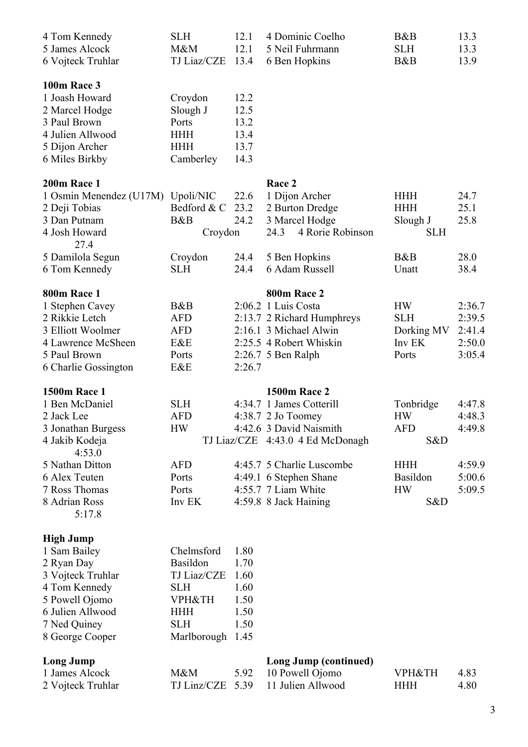| 4 Tom Kennedy<br>5 James Alcock<br>6 Vojteck Truhlar                                                                                                                              | <b>SLH</b><br>M&M<br>TJ Liaz/CZE                                                                                    | 12.1<br>12.1<br>13.4                                         | 4 Dominic Coelho<br>5 Neil Fuhrmann<br>6 Ben Hopkins                                                                                          | B&B<br><b>SLH</b><br>B&B                                  | 13.3<br>13.3<br>13.9                           |
|-----------------------------------------------------------------------------------------------------------------------------------------------------------------------------------|---------------------------------------------------------------------------------------------------------------------|--------------------------------------------------------------|-----------------------------------------------------------------------------------------------------------------------------------------------|-----------------------------------------------------------|------------------------------------------------|
| <b>100m Race 3</b><br>1 Joash Howard<br>2 Marcel Hodge<br>3 Paul Brown<br>4 Julien Allwood<br>5 Dijon Archer<br>6 Miles Birkby                                                    | Croydon<br>Slough J<br>Ports<br><b>HHH</b><br><b>HHH</b><br>Camberley                                               | 12.2<br>12.5<br>13.2<br>13.4<br>13.7<br>14.3                 |                                                                                                                                               |                                                           |                                                |
| 200m Race 1<br>1 Osmin Menendez (U17M)<br>2 Deji Tobias<br>3 Dan Putnam<br>4 Josh Howard<br>27.4<br>5 Damilola Segun                                                              | Upoli/NIC<br>Bedford & C<br>B&B<br>Croydon                                                                          | 22.6<br>23.2<br>24.2<br>24.4                                 | Race 2<br>1 Dijon Archer<br>2 Burton Dredge<br>3 Marcel Hodge<br>4 Rorie Robinson<br>24.3                                                     | <b>HHH</b><br><b>HHH</b><br>Slough J<br><b>SLH</b><br>B&B | 24.7<br>25.1<br>25.8<br>28.0                   |
| 6 Tom Kennedy                                                                                                                                                                     | Croydon<br><b>SLH</b>                                                                                               | 24.4                                                         | 5 Ben Hopkins<br>6 Adam Russell                                                                                                               | Unatt                                                     | 38.4                                           |
| <b>800m Race 1</b><br>1 Stephen Cavey<br>2 Rikkie Letch<br>3 Elliott Woolmer<br>4 Lawrence McSheen<br>5 Paul Brown<br>6 Charlie Gossington                                        | B&B<br><b>AFD</b><br><b>AFD</b><br>E&E<br>Ports<br>E&E                                                              | 2:26.7                                                       | 800m Race 2<br>2:06.2 1 Luis Costa<br>2:13.7 2 Richard Humphreys<br>2:16.1 3 Michael Alwin<br>2:25.5 4 Robert Whiskin<br>$2:26.7$ 5 Ben Ralph | <b>HW</b><br><b>SLH</b><br>Dorking MV<br>Inv EK<br>Ports  | 2:36.7<br>2:39.5<br>2:41.4<br>2:50.0<br>3:05.4 |
| <b>1500m Race 1</b><br>1 Ben McDaniel<br>2 Jack Lee<br>3 Jonathan Burgess<br>4 Jakib Kodeja<br>4:53.0                                                                             | <b>SLH</b><br><b>AFD</b><br><b>HW</b>                                                                               |                                                              | <b>1500m Race 2</b><br>4:34.7 1 James Cotterill<br>4:38.7 2 Jo Toomey<br>4:42.6 3 David Naismith<br>TJ Liaz/CZE 4:43.0 4 Ed McDonagh          | Tonbridge<br><b>HW</b><br><b>AFD</b><br>S&D               | 4:47.8<br>4:48.3<br>4:49.8                     |
| 5 Nathan Ditton<br>6 Alex Teuten<br>7 Ross Thomas<br>8 Adrian Ross<br>5:17.8                                                                                                      | <b>AFD</b><br>Ports<br>Ports<br>Inv EK                                                                              |                                                              | 4:45.7 5 Charlie Luscombe<br>4:49.1 6 Stephen Shane<br>4:55.7 7 Liam White<br>4:59.8 8 Jack Haining                                           | <b>HHH</b><br>Basildon<br><b>HW</b><br>S&D                | 4:59.9<br>5:00.6<br>5:09.5                     |
| <b>High Jump</b><br>1 Sam Bailey<br>2 Ryan Day<br>3 Vojteck Truhlar<br>4 Tom Kennedy<br>5 Powell Ojomo<br>6 Julien Allwood<br>7 Ned Quiney<br>8 George Cooper<br><b>Long Jump</b> | Chelmsford<br>Basildon<br>TJ Liaz/CZE<br><b>SLH</b><br><b>VPH&amp;TH</b><br><b>HHH</b><br><b>SLH</b><br>Marlborough | 1.80<br>1.70<br>1.60<br>1.60<br>1.50<br>1.50<br>1.50<br>1.45 | Long Jump (continued)                                                                                                                         |                                                           |                                                |
| 1 James Alcock<br>2 Vojteck Truhlar                                                                                                                                               | M&M<br>TJ Linz/CZE                                                                                                  | 5.92<br>5.39                                                 | 10 Powell Ojomo<br>11 Julien Allwood                                                                                                          | <b>VPH&amp;TH</b><br><b>HHH</b>                           | 4.83<br>4.80                                   |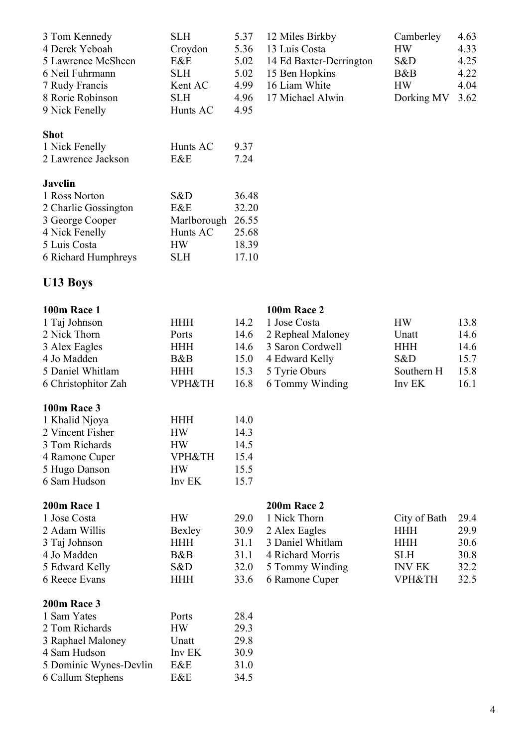| 3 Tom Kennedy              | <b>SLH</b>  | 5.37  | 12 Miles Birkby         | Camberley  | 4.63 |
|----------------------------|-------------|-------|-------------------------|------------|------|
| 4 Derek Yeboah             | Croydon     | 5.36  | 13 Luis Costa           | <b>HW</b>  | 4.33 |
| 5 Lawrence McSheen         | E&E         | 5.02  | 14 Ed Baxter-Derrington | S&D        | 4.25 |
| 6 Neil Fuhrmann            | <b>SLH</b>  | 5.02  | 15 Ben Hopkins          | B&B        | 4.22 |
| 7 Rudy Francis             | Kent AC     | 4.99  | 16 Liam White           | <b>HW</b>  | 4.04 |
| 8 Rorie Robinson           | <b>SLH</b>  | 4.96  | 17 Michael Alwin        | Dorking MV | 3.62 |
| 9 Nick Fenelly             | Hunts AC    | 4.95  |                         |            |      |
| <b>Shot</b>                |             |       |                         |            |      |
| 1 Nick Fenelly             | Hunts AC    | 9.37  |                         |            |      |
| 2 Lawrence Jackson         | E&E         | 7.24  |                         |            |      |
| <b>Javelin</b>             |             |       |                         |            |      |
| 1 Ross Norton              | S&D         | 36.48 |                         |            |      |
| 2 Charlie Gossington       | E&E         | 32.20 |                         |            |      |
| 3 George Cooper            | Marlborough | 26.55 |                         |            |      |
| 4 Nick Fenelly             | Hunts AC    | 25.68 |                         |            |      |
| 5 Luis Costa               | <b>HW</b>   | 18.39 |                         |            |      |
| <b>6 Richard Humphreys</b> | SLH         | 17.10 |                         |            |      |

# **U13 Boys**

| <b>100m Race 1</b>  |                   |      | <b>100m Race 2</b> |                   |      |
|---------------------|-------------------|------|--------------------|-------------------|------|
| 1 Taj Johnson       | <b>HHH</b>        | 14.2 | 1 Jose Costa       | <b>HW</b>         | 13.8 |
| 2 Nick Thorn        | Ports             | 14.6 | 2 Repheal Maloney  | Unatt             | 14.6 |
| 3 Alex Eagles       | <b>HHH</b>        | 14.6 | 3 Saron Cordwell   | <b>HHH</b>        | 14.6 |
| 4 Jo Madden         | B&B               | 15.0 | 4 Edward Kelly     | S&D               | 15.7 |
| 5 Daniel Whitlam    | <b>HHH</b>        | 15.3 | 5 Tyrie Oburs      | Southern H        | 15.8 |
| 6 Christophitor Zah | <b>VPH&amp;TH</b> | 16.8 | 6 Tommy Winding    | Inv EK            | 16.1 |
| <b>100m Race 3</b>  |                   |      |                    |                   |      |
| 1 Khalid Njoya      | <b>HHH</b>        | 14.0 |                    |                   |      |
| 2 Vincent Fisher    | <b>HW</b>         | 14.3 |                    |                   |      |
| 3 Tom Richards      | <b>HW</b>         | 14.5 |                    |                   |      |
| 4 Ramone Cuper      | <b>VPH&amp;TH</b> | 15.4 |                    |                   |      |
| 5 Hugo Danson       | <b>HW</b>         | 15.5 |                    |                   |      |
| 6 Sam Hudson        | Inv EK            | 15.7 |                    |                   |      |
| 200m Race 1         |                   |      | 200m Race 2        |                   |      |
| 1 Jose Costa        | <b>HW</b>         | 29.0 | 1 Nick Thorn       | City of Bath      | 29.4 |
| 2 Adam Willis       | Bexley            | 30.9 | 2 Alex Eagles      | <b>HHH</b>        | 29.9 |
| 3 Taj Johnson       | <b>HHH</b>        | 31.1 | 3 Daniel Whitlam   | <b>HHH</b>        | 30.6 |
| 4 Jo Madden         | B&B               | 31.1 | 4 Richard Morris   | <b>SLH</b>        | 30.8 |
| 5 Edward Kelly      | S&D               | 32.0 | 5 Tommy Winding    | <b>INV EK</b>     | 32.2 |
| 6 Reece Evans       | <b>HHH</b>        | 33.6 | 6 Ramone Cuper     | <b>VPH&amp;TH</b> | 32.5 |
| 200m Race 3         |                   |      |                    |                   |      |
| 1 Sam Yates         | Ports             | 28.4 |                    |                   |      |
| 2 Tom Richards      | <b>HW</b>         | 29.3 |                    |                   |      |
| 3 Raphael Maloney   | Unatt             | 29.8 |                    |                   |      |
| 4 Sam Hudson        | Inv EK            | 30.9 |                    |                   |      |

4 Sam Hudson Inv EK 30.9<br>5 Dominic Wynes-Devlin E&E 31.0 5 Dominic Wynes-Devlin E&E 31.0 6 Callum Stephens E&E 34.5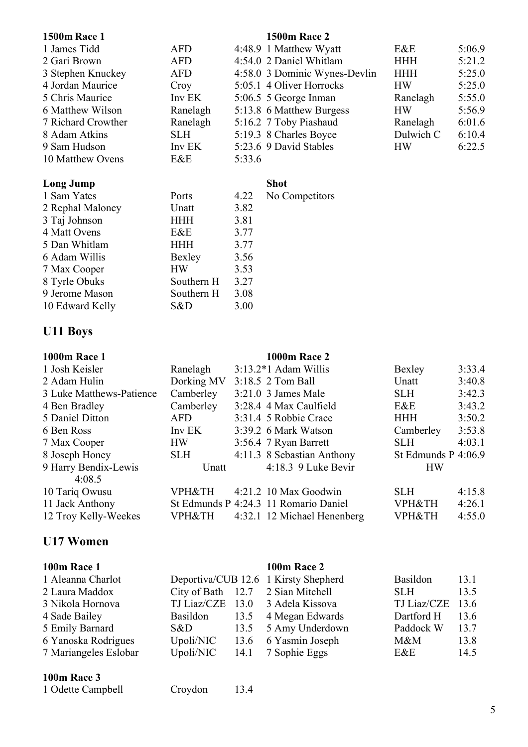| <b>1500m Race 1</b> |            | <b>1500m Race 2</b>           |            |        |
|---------------------|------------|-------------------------------|------------|--------|
| 1 James Tidd        | <b>AFD</b> | 4:48.9 1 Matthew Wyatt        | E&E        | 5:06.9 |
| 2 Gari Brown        | <b>AFD</b> | 4:54.0 2 Daniel Whitlam       | <b>HHH</b> | 5:21.2 |
| 3 Stephen Knuckey   | <b>AFD</b> | 4:58.0 3 Dominic Wynes-Devlin | <b>HHH</b> | 5:25.0 |
| 4 Jordan Maurice    | Croy       | 5:05.1 4 Oliver Horrocks      | <b>HW</b>  | 5:25.0 |
| 5 Chris Maurice     | Inv EK     | 5:06.5 5 George Inman         | Ranelagh   | 5:55.0 |
| 6 Matthew Wilson    | Ranelagh   | 5:13.8 6 Matthew Burgess      | <b>HW</b>  | 5:56.9 |
| 7 Richard Crowther  | Ranelagh   | 5:16.2 7 Toby Piashaud        | Ranelagh   | 6:01.6 |
| 8 Adam Atkins       | <b>SLH</b> | 5:19.3 8 Charles Boyce        | Dulwich C  | 6:10.4 |
| 9 Sam Hudson        | Inv EK     | 5:23.6 9 David Stables        | <b>HW</b>  | 6:22.5 |
| 10 Matthew Ovens    | E&E        | 5:33.6                        |            |        |

### **Long Jump Shot**

| 1 Sam Yates      | Ports      | 4.22 | No <sub>0</sub> |
|------------------|------------|------|-----------------|
| 2 Rephal Maloney | Unatt      | 3.82 |                 |
| 3 Taj Johnson    | <b>HHH</b> | 3.81 |                 |
| 4 Matt Ovens     | E&E        | 3.77 |                 |
| 5 Dan Whitlam    | <b>HHH</b> | 3.77 |                 |
| 6 Adam Willis    | Bexley     | 3.56 |                 |
| 7 Max Cooper     | <b>HW</b>  | 3.53 |                 |
| 8 Tyrle Obuks    | Southern H | 3.27 |                 |
| 9 Jerome Mason   | Southern H | 3.08 |                 |
| 10 Edward Kelly  | S&D        | 3.00 |                 |

# Competitors

# **U11 Boys**

| <b>1000m Race 1</b>      |                   | <b>1000m Race 2</b>                   |                       |        |
|--------------------------|-------------------|---------------------------------------|-----------------------|--------|
| 1 Josh Keisler           | Ranelagh          | $3:13.2*1$ Adam Willis                | Bexley                | 3:33.4 |
| 2 Adam Hulin             | Dorking MV        | 3:18.5 2 Tom Ball                     | Unatt                 | 3:40.8 |
| 3 Luke Matthews-Patience | Camberley         | $3:21.0$ 3 James Male                 | <b>SLH</b>            | 3:42.3 |
| 4 Ben Bradley            | Camberley         | 3:28.4 4 Max Caulfield                | E&E                   | 3:43.2 |
| 5 Daniel Ditton          | <b>AFD</b>        | 3:31.4 5 Robbie Crace                 | <b>HHH</b>            | 3:50.2 |
| 6 Ben Ross               | Inv EK            | 3:39.2 6 Mark Watson                  | Camberley             | 3:53.8 |
| 7 Max Cooper             | <b>HW</b>         | 3:56.4 7 Ryan Barrett                 | <b>SLH</b>            | 4:03.1 |
| 8 Joseph Honey           | <b>SLH</b>        | 4:11.3 8 Sebastian Anthony            | St Edmunds $P$ 4:06.9 |        |
| 9 Harry Bendix-Lewis     | Unatt             | $4:18.3$ 9 Luke Bevir                 | <b>HW</b>             |        |
| 4:08.5                   |                   |                                       |                       |        |
| 10 Tariq Owusu           | <b>VPH&amp;TH</b> | 4:21.2 10 Max Goodwin                 | <b>SLH</b>            | 4:15.8 |
| 11 Jack Anthony          |                   | St Edmunds P 4:24.3 11 Romario Daniel | <b>VPH&amp;TH</b>     | 4:26.1 |
| 12 Troy Kelly-Weekes     | VPH&TH            | 4:32.1 12 Michael Henenberg           | VPH&TH                | 4:55.0 |

# **U17 Women**

### **100m Race 1 100m Race 2**

| 1 Aleanna Charlot     |           | Deportiva/CUB 12.6 1 Kirsty Shepherd | Basildon           | 13.1 |
|-----------------------|-----------|--------------------------------------|--------------------|------|
| 2 Laura Maddox        |           | City of Bath 12.7 2 Sian Mitchell    | SLH.               | 13.5 |
| 3 Nikola Hornova      |           | TJ Liaz/CZE 13.0 3 Adela Kissova     | TJ Liaz/CZE $13.6$ |      |
| 4 Sade Bailey         |           | Basildon 13.5 4 Megan Edwards        | Dartford H         | 13.6 |
| 5 Emily Barnard       | S&D       | 13.5 5 Amy Underdown                 | Paddock W          | 13.7 |
| 6 Yanoska Rodrigues   | Upoli/NIC | 13.6 6 Yasmin Joseph                 | $M\&M$             | 13.8 |
| 7 Mariangeles Eslobar | Upoli/NIC | 14.1 7 Sophie Eggs                   | E&E                | 14.5 |
|                       |           |                                      |                    |      |

### **100m Race 3**

|  | 1 Odette Campbell |  |  |
|--|-------------------|--|--|
|--|-------------------|--|--|

ell Croydon 13.4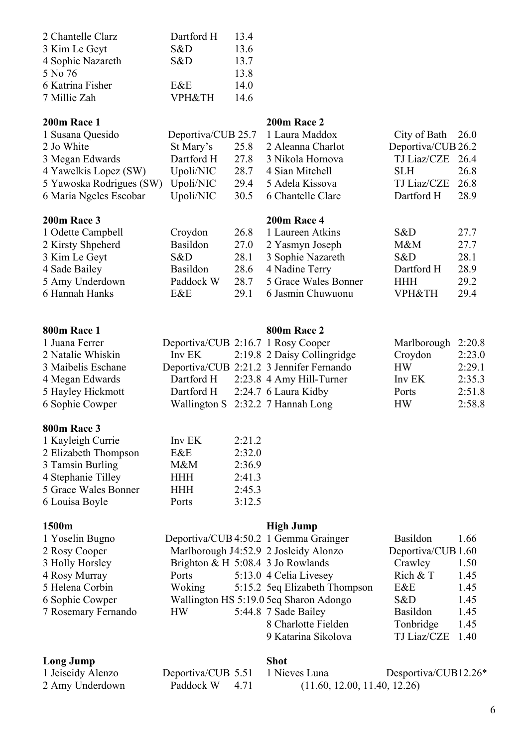| 2 Chantelle Clarz | Dartford H        | 134  |
|-------------------|-------------------|------|
| 3 Kim Le Geyt     | S&D               | 13.6 |
| 4 Sophie Nazareth | S&D               | 13.7 |
| 5 No 76           |                   | 13.8 |
| 6 Katrina Fisher  | E&E               | 14.0 |
| 7 Millie Zah      | <b>VPH&amp;TH</b> | 14.6 |
|                   |                   |      |

| 200m Race 1              |            |      | 200m Race 2                       |                     |      |
|--------------------------|------------|------|-----------------------------------|---------------------|------|
| 1 Susana Quesido         |            |      | Deportiva/CUB 25.7 1 Laura Maddox | City of Bath $26.0$ |      |
| 2 Jo White               |            |      | St Mary's 25.8 2 Aleanna Charlot  | Deportiva/CUB 26.2  |      |
| 3 Megan Edwards          | Dartford H |      | 27.8 3 Nikola Hornova             | TJ Liaz/CZE 26.4    |      |
| 4 Yawelkis Lopez (SW)    | Upoli/NIC  |      | 28.7 4 Sian Mitchell              | SLH –               | 26.8 |
| 5 Yawoska Rodrigues (SW) | Upoli/NIC  | 29.4 | 5 Adela Kissova                   | TJ Liaz/CZE         | 26.8 |
| 6 Maria Ngeles Escobar   | Upoli/NIC  |      | 30.5 6 Chantelle Clare            | Dartford H          | 28.9 |
|                          |            |      |                                   |                     |      |

### **200m Race 3 200m Race 4**

| 1 Odette Campbell | Croydon   | 26.8 1 Laureen Atkins     | S&D        | 27.7 |
|-------------------|-----------|---------------------------|------------|------|
| 2 Kirsty Shpeherd | Basildon  | 27.0 2 Yasmyn Joseph      | M&M        | 27.7 |
| 3 Kim Le Geyt     | S&D       | 28.1 3 Sophie Nazareth    | S&D        | 28.1 |
|                   |           |                           |            |      |
| 4 Sade Bailey     | Basildon  | 28.6 4 Nadine Terry       | Dartford H | 28.9 |
| 5 Amy Underdown   | Paddock W | 28.7 5 Grace Wales Bonner | <b>HHH</b> | 29.2 |
| 6 Hannah Hanks    | E&E       | 29.1 6 Jasmin Chuwuonu    | VPH&TH     | 29.4 |

### **800m Race 1 800m Race 2**

### 1 Juana Ferrer Deportiva/CUB 2:16.7 1 Rosy Cooper Marlborough 2:20.8 2 Natalie Whiskin Inv EK 2:19.8 2 Daisy Collingridge Croydon 2:23.0 3 Maibelis Eschane Deportiva/CUB 2:21.2 3 Jennifer Fernando HW 2:29.1 4 Megan Edwards Dartford H 2:23.8 4 Amy Hill-Turner Inv EK 2:35.3 5 Hayley Hickmott Dartford H 2:24.7 6 Laura Kidby Ports 2:51.8 6 Sophie Cowper Wallington S 2:32.2 7 Hannah Long HW 2:58.8

### **800m Race 3**

| 1 Kayleigh Currie    | Inv EK     | 2:21.2 |
|----------------------|------------|--------|
| 2 Elizabeth Thompson | E&E        | 2:32.0 |
| 3 Tamsin Burling     | $M\&M$     | 2:36.9 |
| 4 Stephanie Tilley   | <b>HHH</b> | 2:41.3 |
| 5 Grace Wales Bonner | <b>HHH</b> | 2:45.3 |
| 6 Louisa Boyle       | Ports      | 3:12.5 |

### **1500m High Jump**

| 1 Yoselin Bugno     |           | Deportiva/CUB 4:50.2 1 Gemma Grainger  | <b>Basildon</b>    | 1.66 |
|---------------------|-----------|----------------------------------------|--------------------|------|
| 2 Rosy Cooper       |           | Marlborough J4:52.9 2 Josleidy Alonzo  | Deportiva/CUB 1.60 |      |
| 3 Holly Horsley     |           | Brighton & H $5:08.4$ 3 Jo Rowlands    | Crawley            | 1.50 |
| 4 Rosy Murray       | Ports     | 5:13.0 4 Celia Livesey                 | Rich $&T$          | 1.45 |
| 5 Helena Corbin     | Woking    | 5:15.2 5eq Elizabeth Thompson          | E&E                | 1.45 |
| 6 Sophie Cowper     |           | Wallington HS 5:19.0 5eq Sharon Adongo | S&D                | 1.45 |
| 7 Rosemary Fernando | <b>HW</b> | 5:44.8 7 Sade Bailey                   | <b>Basildon</b>    | 1.45 |
|                     |           | 8 Charlotte Fielden                    | Tonbridge          | 1.45 |
|                     |           | 9 Katarina Sikolova                    | TJ Liaz/CZE        | 1.40 |

### **Long Jump Shot**

| гонд лишћ         |                                  | MUU |                              |
|-------------------|----------------------------------|-----|------------------------------|
| 1 Jeiseidy Alenzo | Deportiva/CUB 5.51 1 Nieves Luna |     | Desportiva/CUB12.26*         |
| 2 Amy Underdown   | Paddock W 4.71                   |     | (11.60, 12.00, 11.40, 12.26) |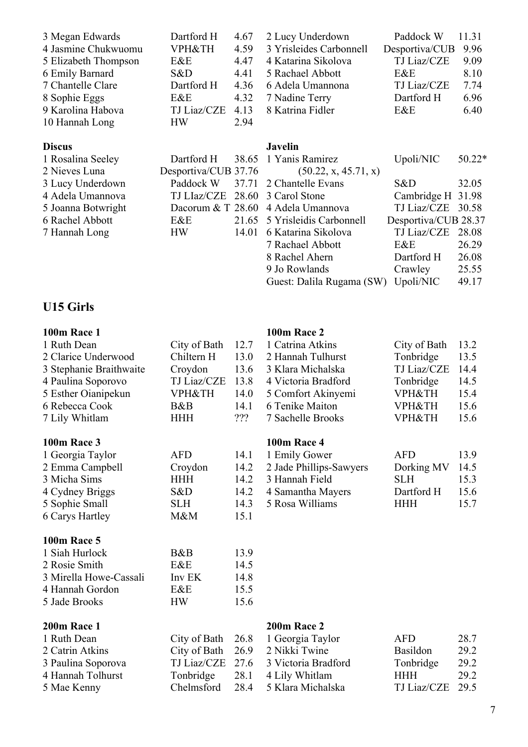| 3 Megan Edwards      | Dartford H           | 4.67  | 2 Lucy Underdown        | Paddock W            | 11.31    |
|----------------------|----------------------|-------|-------------------------|----------------------|----------|
| 4 Jasmine Chukwuomu  | <b>VPH&amp;TH</b>    | 4.59  | 3 Yrisleides Carbonnell | Desportiva/CUB       | 9.96     |
| 5 Elizabeth Thompson | E&E                  | 4.47  | 4 Katarina Sikolova     | <b>TJ</b> Liaz/CZE   | 9.09     |
| 6 Emily Barnard      | S&D                  | 4.41  | 5 Rachael Abbott        | E&E                  | 8.10     |
| 7 Chantelle Clare    | Dartford H           | 4.36  | 6 Adela Umannona        | TJ Liaz/CZE          | 7.74     |
| 8 Sophie Eggs        | E&E                  | 4.32  | 7 Nadine Terry          | Dartford H           | 6.96     |
| 9 Karolina Habova    | <b>TJ Liaz/CZE</b>   | 4.13  | 8 Katrina Fidler        | E&E                  | 6.40     |
| 10 Hannah Long       | <b>HW</b>            | 2.94  |                         |                      |          |
| <b>Discus</b>        |                      |       | <b>Javelin</b>          |                      |          |
| 1 Rosalina Seeley    | Dartford H           | 38.65 | 1 Yanis Ramirez         | Upoli/NIC            | $50.22*$ |
| 2 Nieves Luna        | Desportiva/CUB 37.76 |       | (50.22, x, 45.71, x)    |                      |          |
| 3 Lucy Underdown     | Paddock W            | 37.71 | 2 Chantelle Evans       | S&D                  | 32.05    |
| 4 Adela Umannova     | <b>TJ LIaz/CZE</b>   | 28.60 | 3 Carol Stone           | Cambridge H          | 31.98    |
| 5 Joanna Botwright   | Dacorum $&T$ 28.60   |       | 4 Adela Umannova        | TJ Liaz/CZE          | 30.58    |
| 6 Rachel Abbott      | E&E                  | 21.65 | 5 Yrisleidis Carbonnell | Desportiva/CUB 28.37 |          |
| 7 Hannah Long        | <b>HW</b>            | 14.01 | 6 Katarina Sikolova     | TJ Liaz/CZE          | 28.08    |
|                      |                      |       | 7 Rachael Abbott        | E&E                  | 26.29    |
|                      |                      |       | 8 Rachel Ahern          | Dartford H           | 26.08    |

9 Jo Rowlands Crawley 25.55 Guest: Dalila Rugama (SW) Upoli/NIC 49.17

# **U15 Girls**

| <b>100m Race 1</b>      |                   |      | <b>100m Race 2</b>      |                    |      |
|-------------------------|-------------------|------|-------------------------|--------------------|------|
| 1 Ruth Dean             | City of Bath      | 12.7 | 1 Catrina Atkins        | City of Bath       | 13.2 |
| 2 Clarice Underwood     | Chiltern H        | 13.0 | 2 Hannah Tulhurst       | Tonbridge          | 13.5 |
| 3 Stephanie Braithwaite | Croydon           | 13.6 | 3 Klara Michalska       | <b>TJ Liaz/CZE</b> | 14.4 |
| 4 Paulina Soporovo      | TJ Liaz/CZE       | 13.8 | 4 Victoria Bradford     | Tonbridge          | 14.5 |
| 5 Esther Oianipekun     | <b>VPH&amp;TH</b> | 14.0 | 5 Comfort Akinyemi      | <b>VPH&amp;TH</b>  | 15.4 |
| 6 Rebecca Cook          | B&B               | 14.1 | 6 Tenike Maiton         | VPH&TH             | 15.6 |
| 7 Lily Whitlam          | <b>HHH</b>        | 222  | 7 Sachelle Brooks       | VPH&TH             | 15.6 |
| <b>100m Race 3</b>      |                   |      | <b>100m Race 4</b>      |                    |      |
| 1 Georgia Taylor        | <b>AFD</b>        | 14.1 | 1 Emily Gower           | <b>AFD</b>         | 13.9 |
| 2 Emma Campbell         | Croydon           | 14.2 | 2 Jade Phillips-Sawyers | Dorking MV         | 14.5 |
| 3 Micha Sims            | <b>HHH</b>        | 14.2 | 3 Hannah Field          | <b>SLH</b>         | 15.3 |
| 4 Cydney Briggs         | S&D               | 14.2 | 4 Samantha Mayers       | Dartford H         | 15.6 |
| 5 Sophie Small          | <b>SLH</b>        | 14.3 | 5 Rosa Williams         | <b>HHH</b>         | 15.7 |
| 6 Carys Hartley         | M&M               | 15.1 |                         |                    |      |
| <b>100m Race 5</b>      |                   |      |                         |                    |      |
| 1 Siah Hurlock          | B&B               | 13.9 |                         |                    |      |
| 2 Rosie Smith           | E&E               | 14.5 |                         |                    |      |
| 3 Mirella Howe-Cassali  | Inv EK            | 14.8 |                         |                    |      |
| 4 Hannah Gordon         | E&E               | 15.5 |                         |                    |      |
| 5 Jade Brooks           | <b>HW</b>         | 15.6 |                         |                    |      |
| 200m Race 1             |                   |      | 200m Race 2             |                    |      |
| 1 Ruth Dean             | City of Bath      | 26.8 | 1 Georgia Taylor        | <b>AFD</b>         | 28.7 |
| 2 Catrin Atkins         | City of Bath      | 26.9 | 2 Nikki Twine           | Basildon           | 29.2 |
| 3 Paulina Soporova      | TJ Liaz/CZE       | 27.6 | 3 Victoria Bradford     | Tonbridge          | 29.2 |
| 4 Hannah Tolhurst       | Tonbridge         | 28.1 | 4 Lily Whitlam          | <b>HHH</b>         | 29.2 |
| 5 Mae Kenny             | Chelmsford        | 28.4 | 5 Klara Michalska       | <b>TJ Liaz/CZE</b> | 29.5 |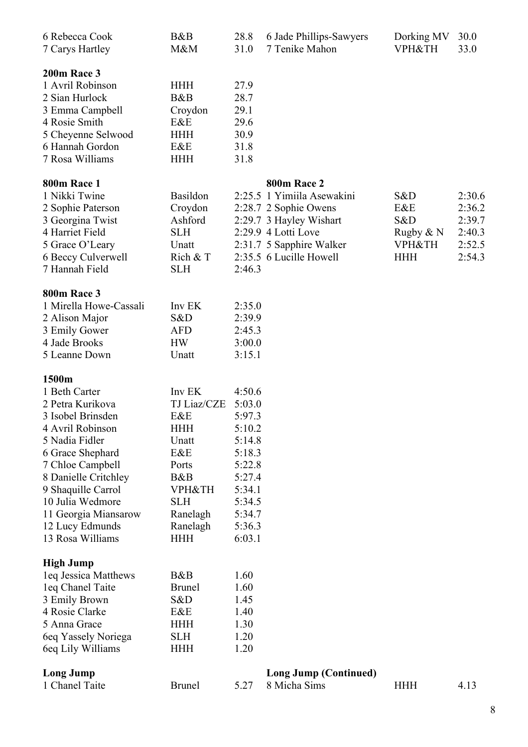| 6 Rebecca Cook<br>7 Carys Hartley                                                                                                                                                                                                                                              | B&B<br>M&M                                                                                                                                          | 28.8<br>31.0                                                                                                                   | 6 Jade Phillips-Sawyers<br>7 Tenike Mahon                                                                                                                                   | Dorking MV<br><b>VPH&amp;TH</b>                                   | 30.0<br>33.0                                             |
|--------------------------------------------------------------------------------------------------------------------------------------------------------------------------------------------------------------------------------------------------------------------------------|-----------------------------------------------------------------------------------------------------------------------------------------------------|--------------------------------------------------------------------------------------------------------------------------------|-----------------------------------------------------------------------------------------------------------------------------------------------------------------------------|-------------------------------------------------------------------|----------------------------------------------------------|
| 200m Race 3<br>1 Avril Robinson<br>2 Sian Hurlock<br>3 Emma Campbell<br>4 Rosie Smith<br>5 Cheyenne Selwood<br>6 Hannah Gordon<br>7 Rosa Williams                                                                                                                              | <b>HHH</b><br>B&B<br>Croydon<br>E&E<br><b>HHH</b><br>E&E<br><b>HHH</b>                                                                              | 27.9<br>28.7<br>29.1<br>29.6<br>30.9<br>31.8<br>31.8                                                                           |                                                                                                                                                                             |                                                                   |                                                          |
| <b>800m Race 1</b><br>1 Nikki Twine<br>2 Sophie Paterson<br>3 Georgina Twist<br>4 Harriet Field<br>5 Grace O'Leary<br>6 Beccy Culverwell<br>7 Hannah Field                                                                                                                     | <b>Basildon</b><br>Croydon<br>Ashford<br><b>SLH</b><br>Unatt<br>Rich $&T$<br><b>SLH</b>                                                             | 2:46.3                                                                                                                         | 800m Race 2<br>2:25.5 1 Yimiila Asewakini<br>2:28.7 2 Sophie Owens<br>2:29.7 3 Hayley Wishart<br>2:29.9 4 Lotti Love<br>2:31.7 5 Sapphire Walker<br>2:35.5 6 Lucille Howell | S&D<br>E&E<br>S&D<br>Rugby & N<br><b>VPH&amp;TH</b><br><b>HHH</b> | 2:30.6<br>2:36.2<br>2:39.7<br>2:40.3<br>2:52.5<br>2:54.3 |
| <b>800m Race 3</b><br>1 Mirella Howe-Cassali<br>2 Alison Major<br>3 Emily Gower<br>4 Jade Brooks<br>5 Leanne Down                                                                                                                                                              | Inv EK<br>S&D<br><b>AFD</b><br><b>HW</b><br>Unatt                                                                                                   | 2:35.0<br>2:39.9<br>2:45.3<br>3:00.0<br>3:15.1                                                                                 |                                                                                                                                                                             |                                                                   |                                                          |
| 1500m<br>1 Beth Carter<br>2 Petra Kurikova<br>3 Isobel Brinsden<br>4 Avril Robinson<br>5 Nadia Fidler<br>6 Grace Shephard<br>7 Chloe Campbell<br>8 Danielle Critchley<br>9 Shaquille Carrol<br>10 Julia Wedmore<br>11 Georgia Miansarow<br>12 Lucy Edmunds<br>13 Rosa Williams | Inv EK<br>TJ Liaz/CZE<br>E&E<br><b>HHH</b><br>Unatt<br>E&E<br>Ports<br>B&B<br><b>VPH&amp;TH</b><br><b>SLH</b><br>Ranelagh<br>Ranelagh<br><b>HHH</b> | 4:50.6<br>5:03.0<br>5:97.3<br>5:10.2<br>5:14.8<br>5:18.3<br>5:22.8<br>5:27.4<br>5:34.1<br>5:34.5<br>5:34.7<br>5:36.3<br>6:03.1 |                                                                                                                                                                             |                                                                   |                                                          |
| <b>High Jump</b><br>leq Jessica Matthews<br>leq Chanel Taite<br>3 Emily Brown<br>4 Rosie Clarke<br>5 Anna Grace<br>6eq Yassely Noriega<br>6eq Lily Williams                                                                                                                    | B&B<br><b>Brunel</b><br>S&D<br>E&E<br><b>HHH</b><br><b>SLH</b><br><b>HHH</b>                                                                        | 1.60<br>1.60<br>1.45<br>1.40<br>1.30<br>1.20<br>1.20                                                                           |                                                                                                                                                                             |                                                                   |                                                          |
| <b>Long Jump</b><br>1 Chanel Taite                                                                                                                                                                                                                                             | <b>Brunel</b>                                                                                                                                       | 5.27                                                                                                                           | <b>Long Jump (Continued)</b><br>8 Micha Sims                                                                                                                                | <b>HHH</b>                                                        | 4.13                                                     |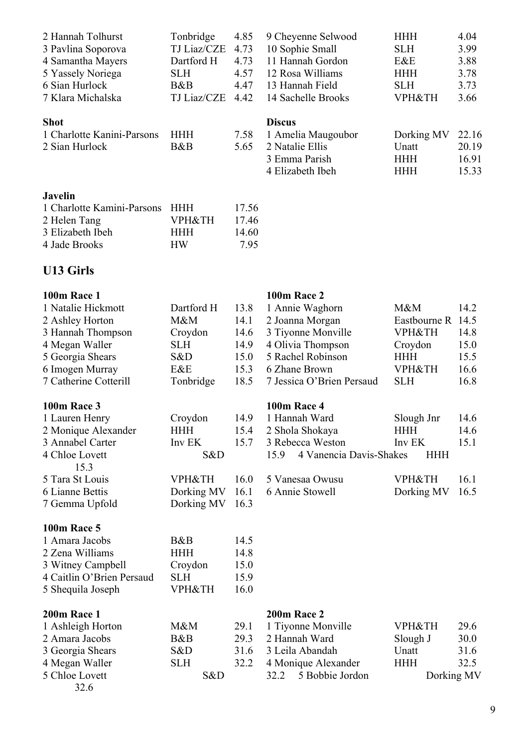| 2 Hannah Tolhurst          | Tonbridge   | 4.85  | 9 Cheyenne Selwood | <b>HHH</b> | 4.04  |
|----------------------------|-------------|-------|--------------------|------------|-------|
| 3 Pavlina Soporova         | TJ Liaz/CZE | 4.73  | 10 Sophie Small    | <b>SLH</b> | 3.99  |
| 4 Samantha Mayers          | Dartford H  | 4.73  | 11 Hannah Gordon   | E&E        | 3.88  |
| 5 Yassely Noriega          | <b>SLH</b>  | 4.57  | 12 Rosa Williams   | <b>HHH</b> | 3.78  |
| 6 Sian Hurlock             | B&B         | 4.47  | 13 Hannah Field    | <b>SLH</b> | 3.73  |
| 7 Klara Michalska          | TJ Liaz/CZE | 4.42  | 14 Sachelle Brooks | VPH&TH     | 3.66  |
| <b>Shot</b>                |             |       | <b>Discus</b>      |            |       |
| 1 Charlotte Kanini-Parsons | <b>HHH</b>  | 7.58  | 1 Amelia Maugoubor | Dorking MV | 22.16 |
| 2 Sian Hurlock             | B&B         | 5.65  | 2 Natalie Ellis    | Unatt      | 20.19 |
|                            |             |       | 3 Emma Parish      | <b>HHH</b> | 16.91 |
|                            |             |       | 4 Elizabeth Ibeh   | HHH        | 15.33 |
| <b>Javelin</b>             |             |       |                    |            |       |
| 1 Charlotte Kamini-Parsons | <b>HHH</b>  | 17.56 |                    |            |       |

# **U13 Girls**

2 Helen Tang VPH&TH 17.46 3 Elizabeth Ibeh HHH 14.60 4 Jade Brooks HW 7.95

| <b>100m Race 1</b>        |                   |      | <b>100m Race 2</b>              |                   |      |
|---------------------------|-------------------|------|---------------------------------|-------------------|------|
| 1 Natalie Hickmott        | Dartford H        | 13.8 | 1 Annie Waghorn                 | M&M               | 14.2 |
| 2 Ashley Horton           | M&M               | 14.1 | 2 Joanna Morgan                 | Eastbourne R      | 14.5 |
| 3 Hannah Thompson         | Croydon           | 14.6 | 3 Tiyonne Monville              | <b>VPH&amp;TH</b> | 14.8 |
| 4 Megan Waller            | <b>SLH</b>        | 14.9 | 4 Olivia Thompson               | Croydon           | 15.0 |
| 5 Georgia Shears          | S&D               | 15.0 | 5 Rachel Robinson               | <b>HHH</b>        | 15.5 |
| 6 Imogen Murray           | E&E               | 15.3 | 6 Zhane Brown                   | <b>VPH&amp;TH</b> | 16.6 |
| 7 Catherine Cotterill     | Tonbridge         | 18.5 | 7 Jessica O'Brien Persaud       | <b>SLH</b>        | 16.8 |
| <b>100m Race 3</b>        |                   |      | <b>100m Race 4</b>              |                   |      |
| 1 Lauren Henry            | Croydon           | 14.9 | 1 Hannah Ward                   | Slough Jnr        | 14.6 |
| 2 Monique Alexander       | <b>HHH</b>        | 15.4 | 2 Shola Shokaya                 | <b>HHH</b>        | 14.6 |
| 3 Annabel Carter          | Inv EK            | 15.7 | 3 Rebecca Weston                | Inv EK            | 15.1 |
| 4 Chloe Lovett<br>15.3    | S&D               |      | 4 Vanencia Davis-Shakes<br>15.9 | <b>HHH</b>        |      |
| 5 Tara St Louis           | <b>VPH&amp;TH</b> | 16.0 | 5 Vanesaa Owusu                 | VPH&TH            | 16.1 |
| 6 Lianne Bettis           | Dorking MV        | 16.1 | 6 Annie Stowell                 | Dorking MV        | 16.5 |
| 7 Gemma Upfold            | Dorking MV        | 16.3 |                                 |                   |      |
| <b>100m Race 5</b>        |                   |      |                                 |                   |      |
| 1 Amara Jacobs            | B&B               | 14.5 |                                 |                   |      |
| 2 Zena Williams           | <b>HHH</b>        | 14.8 |                                 |                   |      |
| 3 Witney Campbell         | Croydon           | 15.0 |                                 |                   |      |
| 4 Caitlin O'Brien Persaud | <b>SLH</b>        | 15.9 |                                 |                   |      |
| 5 Shequila Joseph         | <b>VPH&amp;TH</b> | 16.0 |                                 |                   |      |
| <b>200m Race 1</b>        |                   |      | 200m Race 2                     |                   |      |
| 1 Ashleigh Horton         | M&M               | 29.1 | 1 Tiyonne Monville              | <b>VPH&amp;TH</b> | 29.6 |
| 2 Amara Jacobs            | B&B               | 29.3 | 2 Hannah Ward                   | Slough J          | 30.0 |
| 3 Georgia Shears          | S&D               | 31.6 | 3 Leila Abandah                 | Unatt             | 31.6 |
| 4 Megan Waller            | <b>SLH</b>        | 32.2 | 4 Monique Alexander             | <b>HHH</b>        | 32.5 |
| 5 Chloe Lovett            | S&D               |      | 5 Bobbie Jordon<br>32.2         | Dorking MV        |      |
| 32.6                      |                   |      |                                 |                   |      |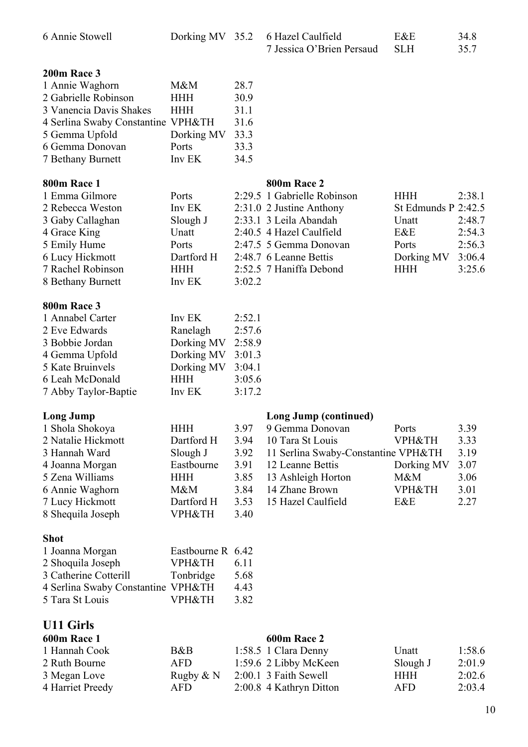| 6 Annie Stowell                                        | Dorking MV 35.2                 |              | 6 Hazel Caulfield<br>7 Jessica O'Brien Persaud | E&E<br><b>SLH</b>   | 34.8<br>35.7 |
|--------------------------------------------------------|---------------------------------|--------------|------------------------------------------------|---------------------|--------------|
| 200m Race 3<br>1 Annie Waghorn<br>2 Gabrielle Robinson | $M\&M$<br><b>HHH</b>            | 28.7<br>30.9 |                                                |                     |              |
| 3 Vanencia Davis Shakes                                | <b>HHH</b>                      | 31.1         |                                                |                     |              |
| 4 Serlina Swaby Constantine VPH&TH                     |                                 | 31.6         |                                                |                     |              |
| 5 Gemma Upfold                                         | Dorking MV                      | 33.3         |                                                |                     |              |
| 6 Gemma Donovan                                        | Ports                           | 33.3         |                                                |                     |              |
| 7 Bethany Burnett                                      | Inv EK                          | 34.5         |                                                |                     |              |
| 800m Race 1                                            |                                 |              | 800m Race 2                                    |                     |              |
| 1 Emma Gilmore                                         | Ports                           |              | 2:29.5 1 Gabrielle Robinson                    | <b>HHH</b>          | 2:38.1       |
| 2 Rebecca Weston                                       | Inv EK                          |              | 2:31.0 2 Justine Anthony                       | St Edmunds P 2:42.5 |              |
| 3 Gaby Callaghan                                       | Slough J                        |              | 2:33.1 3 Leila Abandah                         | Unatt               | 2:48.7       |
| 4 Grace King                                           | Unatt                           |              | 2:40.5 4 Hazel Caulfield                       | E&E                 | 2:54.3       |
| 5 Emily Hume                                           | Ports                           |              | 2:47.5 5 Gemma Donovan                         | Ports               | 2:56.3       |
| 6 Lucy Hickmott                                        | Dartford H                      |              | 2:48.7 6 Leanne Bettis                         | Dorking MV          | 3:06.4       |
| 7 Rachel Robinson                                      | <b>HHH</b>                      |              | 2:52.5 7 Haniffa Debond                        | <b>HHH</b>          | 3:25.6       |
| 8 Bethany Burnett                                      | Inv EK                          | 3:02.2       |                                                |                     |              |
| 800m Race 3                                            |                                 |              |                                                |                     |              |
| 1 Annabel Carter                                       | Inv EK                          | 2:52.1       |                                                |                     |              |
| 2 Eve Edwards                                          | Ranelagh                        | 2:57.6       |                                                |                     |              |
| 3 Bobbie Jordan                                        | Dorking MV                      | 2:58.9       |                                                |                     |              |
| 4 Gemma Upfold                                         | Dorking MV                      | 3:01.3       |                                                |                     |              |
| 5 Kate Bruinvels                                       | Dorking MV                      | 3:04.1       |                                                |                     |              |
| 6 Leah McDonald                                        | <b>HHH</b>                      | 3:05.6       |                                                |                     |              |
| 7 Abby Taylor-Baptie                                   | Inv EK                          | 3:17.2       |                                                |                     |              |
| <b>Long Jump</b>                                       |                                 |              | <b>Long Jump (continued)</b>                   |                     |              |
| 1 Shola Shokoya                                        | <b>HHH</b>                      | 3.97         | 9 Gemma Donovan                                | Ports               | 3.39         |
| 2 Natalie Hickmott                                     | Dartford H                      | 3.94         | 10 Tara St Louis                               | VPH&TH              | 3.33         |
| 3 Hannah Ward                                          | Slough J                        | 3.92         | 11 Serlina Swaby-Constantine VPH&TH            |                     | 3.19         |
| 4 Joanna Morgan                                        | Eastbourne                      | 3.91         | 12 Leanne Bettis                               | Dorking MV          | 3.07         |
| 5 Zena Williams                                        | <b>HHH</b>                      | 3.85         | 13 Ashleigh Horton                             | M&M                 | 3.06         |
| 6 Annie Waghorn                                        | M&M                             | 3.84         | 14 Zhane Brown                                 | <b>VPH&amp;TH</b>   | 3.01         |
| 7 Lucy Hickmott<br>8 Shequila Joseph                   | Dartford H<br><b>VPH&amp;TH</b> | 3.53<br>3.40 | 15 Hazel Caulfield                             | E&E                 | 2.27         |
|                                                        |                                 |              |                                                |                     |              |
| <b>Shot</b>                                            |                                 |              |                                                |                     |              |
| 1 Joanna Morgan                                        | Eastbourne R 6.42               |              |                                                |                     |              |
| 2 Shoquila Joseph                                      | <b>VPH&amp;TH</b>               | 6.11         |                                                |                     |              |
| 3 Catherine Cotterill                                  | Tonbridge                       | 5.68         |                                                |                     |              |
| 4 Serlina Swaby Constantine VPH&TH<br>5 Tara St Louis  | <b>VPH&amp;TH</b>               | 4.43<br>3.82 |                                                |                     |              |
|                                                        |                                 |              |                                                |                     |              |
| <b>U11 Girls</b><br><b>600m Race 1</b>                 |                                 |              | <b>600m Race 2</b>                             |                     |              |
| 1 Hannah Cook                                          | B&B                             |              | 1:58.5 1 Clara Denny                           | Unatt               | 1:58.6       |
| 2 Ruth Bourne                                          | <b>AFD</b>                      |              | 1:59.6 2 Libby McKeen                          | Slough J            | 2:01.9       |
| 3 Megan Love                                           | Rugby $& N$                     |              | 2:00.1 3 Faith Sewell                          | <b>HHH</b>          | 2:02.6       |
| 4 Harriet Preedy                                       | <b>AFD</b>                      |              | 2:00.8 4 Kathryn Ditton                        | <b>AFD</b>          | 2:03.4       |